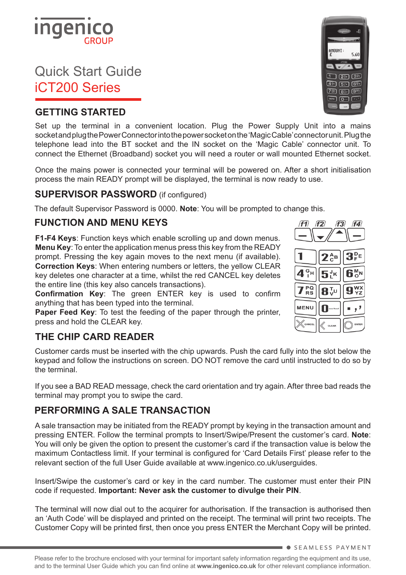# Quick Start Guide iCT200 Series

## **GETTING STARTED**

Set up the terminal in a convenient location. Plug the Power Supply Unit into a mains socket and plug the Power Connector into the power socket on the 'Magic Cable' connector unit. Plug the telephone lead into the BT socket and the IN socket on the 'Magic Cable' connector unit. To connect the Ethernet (Broadband) socket you will need a router or wall mounted Ethernet socket.

Once the mains power is connected your terminal will be powered on. After a short initialisation process the main READY prompt will be displayed, the terminal is now ready to use.

# **SUPERVISOR PASSWORD** (if configured)

The default Supervisor Password is 0000. **Note**: You will be prompted to change this.

### **FUNCTION AND MENU KEYS**

**F1-F4 Keys**: Function keys which enable scrolling up and down menus. **Menu Key**: To enter the application menus press this key from the READY prompt. Pressing the key again moves to the next menu (if available). **Correction Keys**: When entering numbers or letters, the yellow CLEAR key deletes one character at a time, whilst the red CANCEL key deletes the entire line (this key also cancels transactions).

**Confirmation Key**: The green ENTER key is used to confirm anything that has been typed into the terminal.

**Paper Feed Key**: To test the feeding of the paper through the printer, press and hold the CLEAR key.

### **THE CHIP CARD READER**

Customer cards must be inserted with the chip upwards. Push the card fully into the slot below the keypad and follow the instructions on screen. DO NOT remove the card until instructed to do so by the terminal.

If you see a BAD READ message, check the card orientation and try again. After three bad reads the terminal may prompt you to swipe the card.

# **PERFORMING A SALE TRANSACTION**

A sale transaction may be initiated from the READY prompt by keying in the transaction amount and pressing ENTER. Follow the terminal prompts to Insert/Swipe/Present the customer's card. **Note**: You will only be given the option to present the customer's card if the transaction value is below the maximum Contactless limit. If your terminal is configured for 'Card Details First' please refer to the relevant section of the full User Guide available at www.ingenico.co.uk/userguides.

Insert/Swipe the customer's card or key in the card number. The customer must enter their PIN code if requested. **Important: Never ask the customer to divulge their PIN**.

The terminal will now dial out to the acquirer for authorisation. If the transaction is authorised then an 'Auth Code' will be displayed and printed on the receipt. The terminal will print two receipts. The Customer Copy will be printed first, then once you press ENTER the Merchant Copy will be printed.







**SEAMLESS PAYMENT**